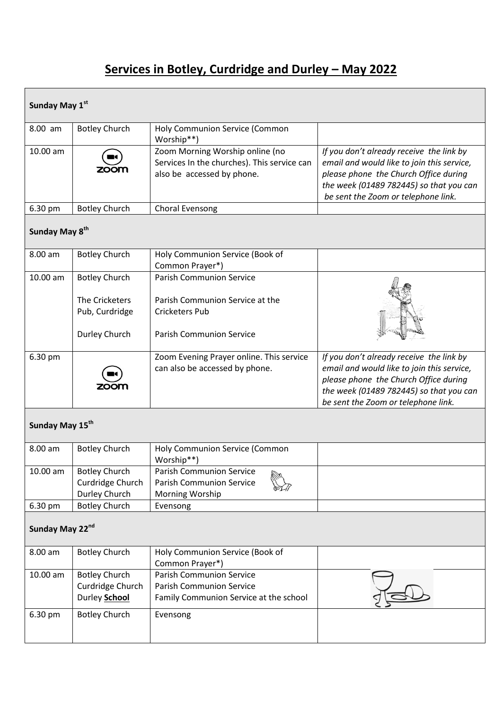## **Services in Botley, Curdridge and Durley – May 2022**

| Sunday May 1st              |                                                                  |                                                                                                              |                                                                                                                                                                                                                   |  |  |
|-----------------------------|------------------------------------------------------------------|--------------------------------------------------------------------------------------------------------------|-------------------------------------------------------------------------------------------------------------------------------------------------------------------------------------------------------------------|--|--|
| $8.00$ am                   | <b>Botley Church</b>                                             | Holy Communion Service (Common<br>Worship**)                                                                 |                                                                                                                                                                                                                   |  |  |
| 10.00 am                    | zoom                                                             | Zoom Morning Worship online (no<br>Services In the churches). This service can<br>also be accessed by phone. | If you don't already receive the link by<br>email and would like to join this service,<br>please phone the Church Office during<br>the week (01489 782445) so that you can<br>be sent the Zoom or telephone link. |  |  |
| 6.30 pm                     | <b>Botley Church</b>                                             | Choral Evensong                                                                                              |                                                                                                                                                                                                                   |  |  |
| Sunday May 8 <sup>th</sup>  |                                                                  |                                                                                                              |                                                                                                                                                                                                                   |  |  |
| 8.00 am                     | <b>Botley Church</b>                                             | Holy Communion Service (Book of<br>Common Prayer*)                                                           |                                                                                                                                                                                                                   |  |  |
| 10.00 am                    | <b>Botley Church</b><br>The Cricketers<br>Pub, Curdridge         | <b>Parish Communion Service</b><br>Parish Communion Service at the<br><b>Cricketers Pub</b>                  |                                                                                                                                                                                                                   |  |  |
|                             | Durley Church                                                    | <b>Parish Communion Service</b>                                                                              |                                                                                                                                                                                                                   |  |  |
| 6.30 pm                     | zoom                                                             | Zoom Evening Prayer online. This service<br>can also be accessed by phone.                                   | If you don't already receive the link by<br>email and would like to join this service,<br>please phone the Church Office during<br>the week (01489 782445) so that you can<br>be sent the Zoom or telephone link. |  |  |
| Sunday May 15 <sup>th</sup> |                                                                  |                                                                                                              |                                                                                                                                                                                                                   |  |  |
| 8.00 a <sub>m</sub>         | <b>Botley Church</b>                                             | Holy Communion Service (Common<br>Worship**)                                                                 |                                                                                                                                                                                                                   |  |  |
| 10.00 am                    | <b>Botley Church</b><br>Curdridge Church<br>Durley Church        | <b>Parish Communion Service</b><br><b>Parish Communion Service</b><br>Morning Worship                        |                                                                                                                                                                                                                   |  |  |
| 6.30 pm                     | <b>Botley Church</b>                                             | Evensong                                                                                                     |                                                                                                                                                                                                                   |  |  |
| Sunday May 22nd             |                                                                  |                                                                                                              |                                                                                                                                                                                                                   |  |  |
| 8.00 am                     | <b>Botley Church</b>                                             | Holy Communion Service (Book of<br>Common Prayer*)                                                           |                                                                                                                                                                                                                   |  |  |
| 10.00 am                    | <b>Botley Church</b><br>Curdridge Church<br>Durley <b>School</b> | <b>Parish Communion Service</b><br><b>Parish Communion Service</b><br>Family Communion Service at the school |                                                                                                                                                                                                                   |  |  |
| 6.30 pm                     | <b>Botley Church</b>                                             | Evensong                                                                                                     |                                                                                                                                                                                                                   |  |  |